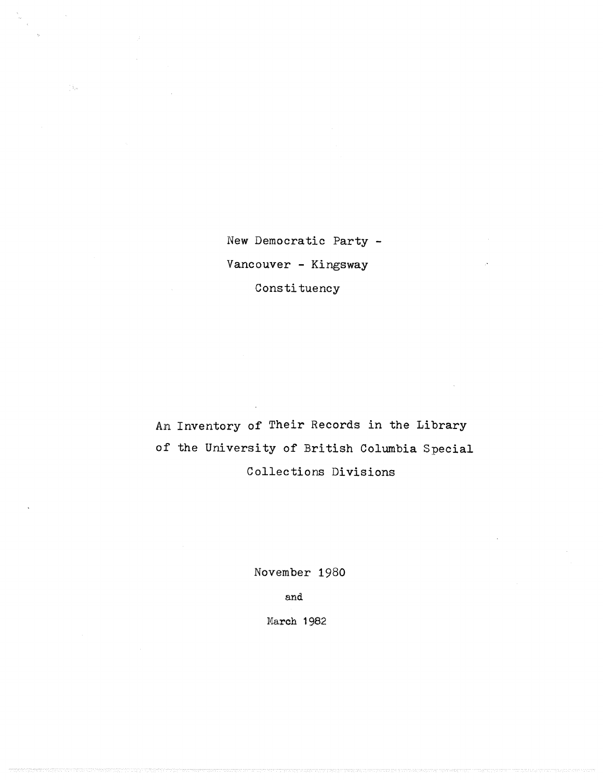New Democratic Party - Vancouver - Kingsway Constituency

An Inventory of Their Records in the Library of the University of British Columbia Special Collections Divisions

November 1980

and

March 1982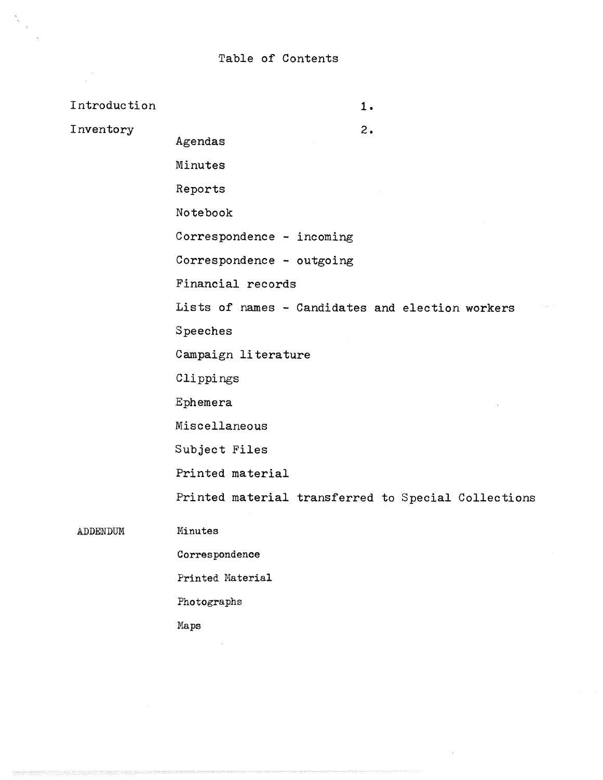$\frac{1}{2}$  $\bar{\epsilon}$ 

| Introduction | 1.                                                  |
|--------------|-----------------------------------------------------|
| Inventory    | 2.<br>Agendas                                       |
|              | Minutes                                             |
|              | Reports                                             |
|              | Notebook                                            |
|              | Correspondence - incoming                           |
|              | Correspondence - outgoing                           |
|              | Financial records                                   |
|              | Lists of names - Candidates and election workers    |
|              | Speeches                                            |
|              | Campaign literature                                 |
|              | Clippings                                           |
|              | Ephemera                                            |
|              | Miscellaneous                                       |
|              | Subject Files                                       |
|              | Printed material                                    |
|              | Printed material transferred to Special Collections |
| ADDENDUM     | Minutes                                             |
|              | Correspondence                                      |
|              | Printed Material                                    |
|              | Photographs                                         |

Maps

.<br>Terminal production of the contract of the contract of the contract of the contract of the contract of the con

y.<br>T

 $\overline{\phantom{a}}$ 

.<br>Tanàna am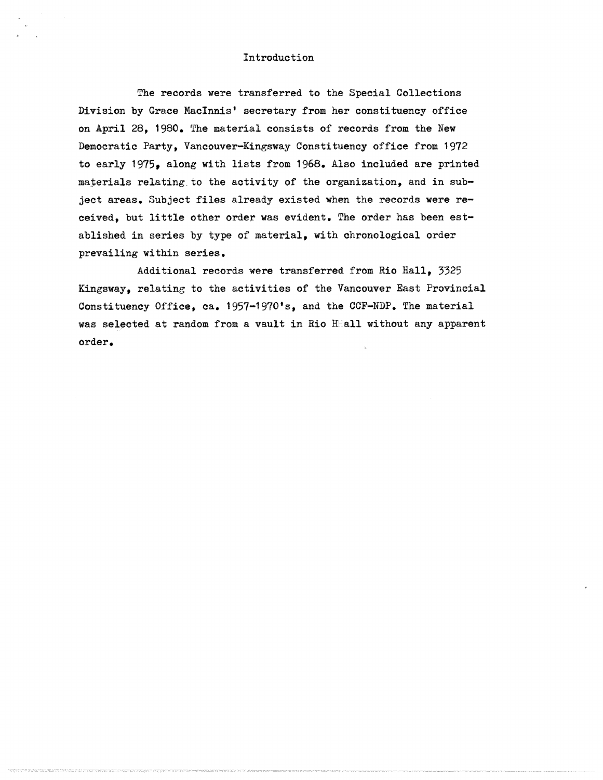## Introduction

The records were transferred to the Special Collections Division by Grace MacInnis' secretary from her constituency office on April 28, 1980. The material consists of records from the New Democratic Party, Vancouver-Kingsway Constituency office from 1972 to early 1975, along with lists from 1968 . Also included are printed materials relating to the activity of the organization, and in subject areas. Subject files already existed when the records were received, but little other order was evident. The order has been established in series by type of material, with chronological order prevailing within series .

Additional records were transferred from Rio Hall, 3325 Kingsway, relating to the activities of the Vancouver East Provincial Constituency Office, ca. 1957-1970's, and the CCF-NDP. The material was selected at random from a vault in Rio HHall without any apparent order .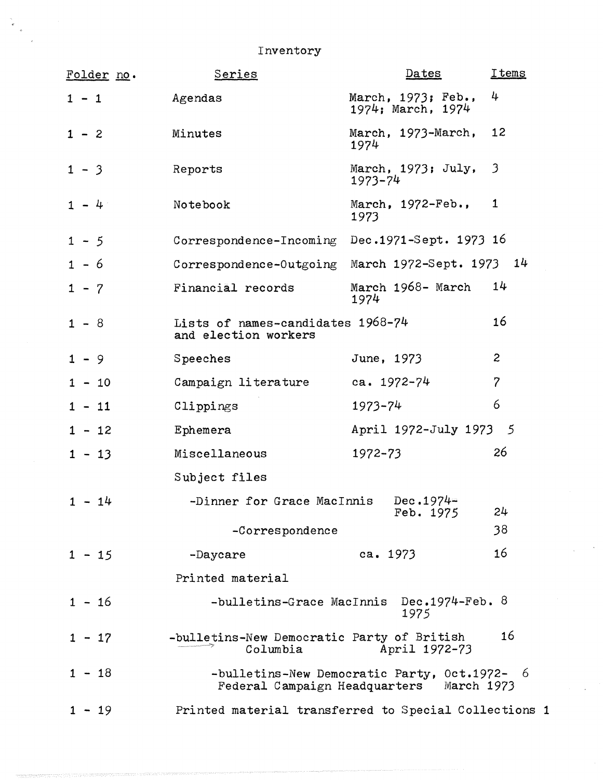Inventory

| Folder no. | Series                                                    | $Dates$                                                                                  | <b>Items</b>            |
|------------|-----------------------------------------------------------|------------------------------------------------------------------------------------------|-------------------------|
| $1 - 1$    | Agendas                                                   | March, 1973; Feb.,<br>1974; March, 1974                                                  | 4                       |
| $1 - 2$    | Minutes                                                   | March, 1973-March,<br>1974                                                               | 12                      |
| $1 - 3$    | Reports                                                   | March, 1973; July,<br>$1973 - 74$                                                        | $\overline{\mathbf{3}}$ |
| $1 - 4$    | Notebook                                                  | March, $1972 - \text{Feb.}$<br>1973                                                      | $\mathbf{1}$            |
| $1 - 5$    | Correspondence-Incoming                                   | Dec.1971-Sept. 1973 16                                                                   |                         |
| $1 - 6$    | Correspondence-Outgoing                                   | March 1972-Sept. 1973 14                                                                 |                         |
| $1 - 7$    | Financial records                                         | March 1968- March<br>1974                                                                | 14                      |
| $1 - 8$    | Lists of names-candidates 1968-74<br>and election workers |                                                                                          | 16                      |
| $1 - 9$    | Speeches                                                  | June, 1973                                                                               | $\overline{c}$          |
| $1 - 10$   | Campaign literature                                       | ca. $1972 - 74$                                                                          | $\overline{7}$          |
| $1 - 11$   | Clippings                                                 | $1973 - 74$                                                                              | 6                       |
| $1 - 12$   | Ephemera                                                  | April 1972-July 1973 5                                                                   |                         |
| $1 - 13$   | Miscellaneous                                             | $1972 - 73$                                                                              | 26                      |
|            | Subject files                                             |                                                                                          |                         |
| $1 - 14$   | -Dinner for Grace MacInnis                                | Dec.1974=<br>Feb. 1975                                                                   | 24                      |
|            | -Correspondence                                           |                                                                                          | 38                      |
| $1 - 15$   | -Daycare                                                  | ca. $1973$                                                                               | 16                      |
|            | Printed material                                          |                                                                                          |                         |
| $1 - 16$   |                                                           | -bulletins-Grace MacInnis Dec.1974-Feb. 8<br>1975                                        |                         |
| $1 - 17$   | -bulletins-New Democratic Party of British<br>Columbia    | April 1972-73                                                                            | 16                      |
| $1 - 18$   |                                                           | -bulletins-New Democratic Party, Oct.1972- 6<br>Federal Campaign Headquarters March 1973 |                         |
| $1 - 19$   | Printed material transferred to Special Collections 1     |                                                                                          |                         |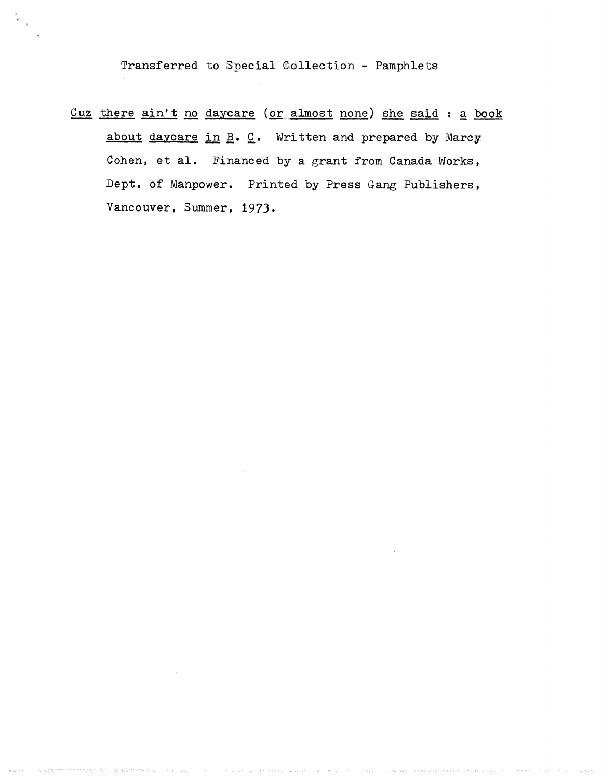Transferred to Special Collection - Pamphlets

Cuz there ain't no daycare (or almost none) she said : a book about daycare in  $\underline{B}$ .  $\underline{C}$ . Written and prepared by Marcy Cohen, et al. Financed by a grant from Canada Works, Dept. of Manpower. Printed by Press Gang Publishers, Vancouver, Summer, 1973.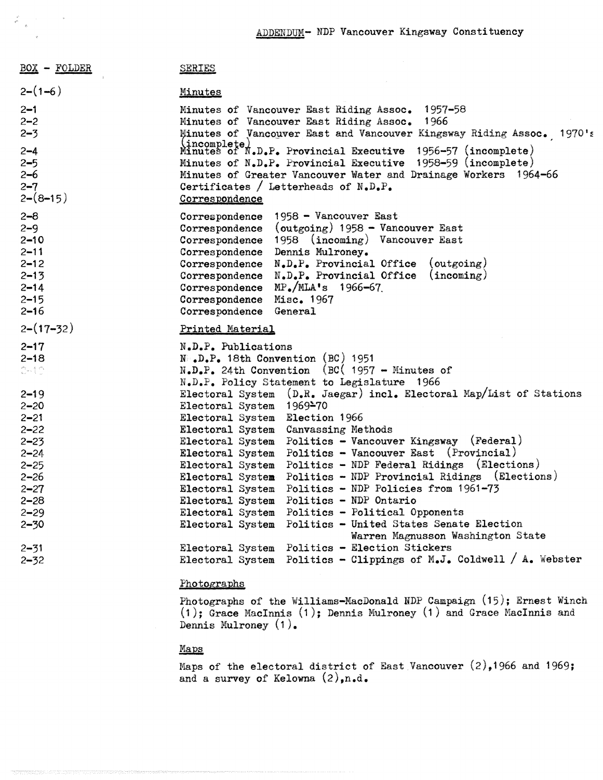| <b>BOX - FOLDER</b>          | <b>SERIES</b>                                                                              |  |  |
|------------------------------|--------------------------------------------------------------------------------------------|--|--|
| $2-(1-6)$                    | <b>Minutes</b>                                                                             |  |  |
| $2 - 1$                      | Minutes of Vancouver East Riding Assoc. 1957-58                                            |  |  |
| $2 - 2$                      | 1966<br>Minutes of Vancouver East Riding Assoc.                                            |  |  |
| $2 - 3$                      | Minutes of Vancouver East and Vancouver Kingsway Riding Assoc. 1970's                      |  |  |
| $2 - 4$                      | (incomplete)<br>Minutes of N.D.P. Provincial Executive 1956-57 (incomplete)                |  |  |
| $2 - 5$                      | Minutes of N.D.P. Provincial Executive 1958-59 (incomplete)                                |  |  |
| $2 - 6$                      | Minutes of Greater Vancouver Water and Drainage Workers 1964-66                            |  |  |
| $2 - 7$                      | Certificates / Letterheads of $N_{\bullet}D_{\bullet}P_{\bullet}$                          |  |  |
| $2-(8-15)$                   | Correspondence                                                                             |  |  |
| $2 - 8$                      | Correspondence 1958 - Vancouver East                                                       |  |  |
| $2 - 9$                      | Correspondence (outgoing) $1958$ – Vancouver East                                          |  |  |
| $2 - 10$                     | Correspondence 1958 (incoming) Vancouver East                                              |  |  |
| $2 - 11$                     | Correspondence Dennis Mulroney.                                                            |  |  |
| $2 - 12$                     | Correspondence N.D.P. Provincial Office<br>(outgoing)                                      |  |  |
| $2 - 13$                     | Correspondence N.D.P. Provincial Office<br>(incoming)                                      |  |  |
| $2 - 14$                     | Correspondence MP./MLA's 1966-67                                                           |  |  |
| $2 - 15$                     | Correspondence Misc. 1967                                                                  |  |  |
| $2 - 16$                     | Correspondence General                                                                     |  |  |
| $2-(17-32)$                  | Printed Material                                                                           |  |  |
| $2 - 17$                     | N.D.P. Publications                                                                        |  |  |
| $2 - 18$                     | $N_{\text{L}}$ , D.P. 18th Convention (BC) 1951                                            |  |  |
| $\mathbb{C}^{n+1}\mathbb{C}$ | $N.D.P.$ 24th Convention (BC) 1957 - Minutes of                                            |  |  |
|                              | N.D.P. Policy Statement to Legislature 1966                                                |  |  |
| $2 - 19$                     | Electoral System (D.R. Jaegar) incl. Electoral Map/List of Stations                        |  |  |
| $2 - 20$                     | Electoral System 1969-70                                                                   |  |  |
| $2 - 21$                     | Electoral System Election 1966                                                             |  |  |
| $2 - 22$                     | Electoral System Canvassing Methods                                                        |  |  |
| $2 - 23$                     | Electoral System Politics - Vancouver Kingsway (Federal)                                   |  |  |
| $2 - 24$                     | Electoral System Politics - Vancouver East (Provincial)                                    |  |  |
| $2 - 25$                     | Electoral System Politics - NDP Federal Ridings (Elections)                                |  |  |
| $2 - 26$                     | Electoral System Politics - NDP Provincial Ridings (Elections)                             |  |  |
| $2 - 27$                     | Electoral System Politics - NDP Policies from 1961-73                                      |  |  |
| $2 - 28$                     | Electoral System Politics - NDP Ontario                                                    |  |  |
| $2 - 29$                     | Electoral System Politics - Political Opponents                                            |  |  |
| $2 - 30$                     | Politics - United States Senate Election<br>Electoral System                               |  |  |
|                              | Warren Magnusson Washington State                                                          |  |  |
| $2 - 31$                     | Politics - Election Stickers<br>Electoral System                                           |  |  |
| $2 - 32$                     | Politics - Clippings of $M_{\bullet}J_{\bullet}$ Coldwell / A. Webster<br>Electoral System |  |  |
|                              |                                                                                            |  |  |

## Photographs

Photographs of the Williams-MacDonald NDP Campaign  $(15)$ ; Ernest Winch (1); Grace MacInnis (1); Dennis Mulroney (1) and Grace MacInnis and Dennis Mulroney (I) .

## Mans

 $\label{eq:2} \begin{array}{c} \mathbb{X}^{(n)}_{\mathbb{X}^{(n)}}(x) = \mathbb{X}^{(n)}_{\mathbb{X}^{(n)}} \end{array}$ 

Maps of the electoral district of East Vancouver  $(2)$ , 1966 and 1969; and a survey of Kelowna  $(2),$ n.d.